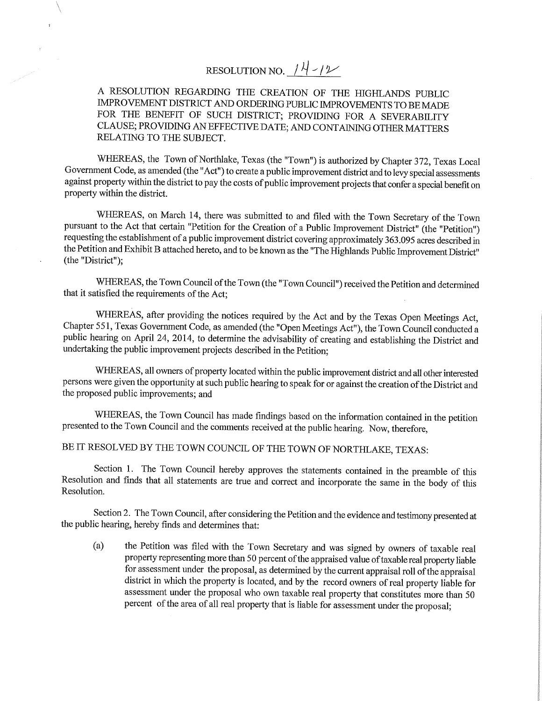# RESOLUTION NO.  $14-12$

## *A* RESOLUTION REGARDING THE CREATION OF THE HIGHLANDS PUBLIC IMPROVEMENT DISTRICT AND ORDERING PUBLIC IMPROVEMENTS TO BE MADE FOR THE BENEFIT OF SUCH DISTRICT; PROVIDING FOR A SEVERABILITY CLAUSE; PROVIDING AN EFFECTIVE DATE; AND CONTAINING OTHER MATTERS RELATING TO THE SUBJECT.

WHEREAS, the Town of Northlake, Texas (the "Town") is authorized by Chapter 372, Texas Local Government Code, as amended (the "Act") to create a public improvement district and to levy special assessments against property within the district to pay the costs of public improvement projects that confer a special benefit on property within the district.

WHEREAS, on March 14, there was submitted to and filed with the Town Secretary of the Town pursuant to the Act that certain "Petition for the Creation of a Public Improvement District" (the "Petition") requesting the establishment of a public improvement district covering approximately 363.095 acres described in the Petition and Exhibit B attached hereto, and to be known as the "The Highlands Public Improvement District" (the "District");

WHEREAS, the Town Council of the Town (the "Town Council") received the Petition and determined that it satisfied the requirements of the Act;

WHEREAS, after providing the notices required by the Act and by the Texas Open Meetings Act, Chapter 551, Texas Government Code, as amended (the "Open Meetings Act"), the Town Council conducted a public hearing on April 24, 2014, to determine the advisability of creating and establishing the District and undertaking the public improvement projects described in the Petition;

WHEREAS, all owners of property located within the public improvement district and all other interested persons were given the opportunity at such public hearing to speak for or against the creation of the District and the proposed public improvements; and

WHEREAS, the Town Council has made findings based on the information contained in the petition presented to the Town Council and the comments received at the public hearing. Now, therefore,

# BE IT RESOLVED BY THE TOWN COUNCIL OF THE TOWN OF NORTHLAKE, TEXAS:

Section 1. The Town Council hereby approves the statements contained in the preamble of this Resolution and finds that all statements are true and correct and incorporate the same in the body of this Resolution.

Section 2. The Town Council, after considering the Petition and the evidence and testimony presented at the public hearing, hereby finds and determines that:

(a) the Petition was filed with the Town Secretary and was signed by owners of taxable real property representing more than 50 percent of the appraised value of taxable real property liable for assessment under the proposal, as determined by the current appraisal roll of the appraisal district in which the property is located, and by the record owners of real property liable for assessment under the proposal who own taxable real property that constitutes more than 50 percent of the area of all real property that is liable for assessment under the proposal;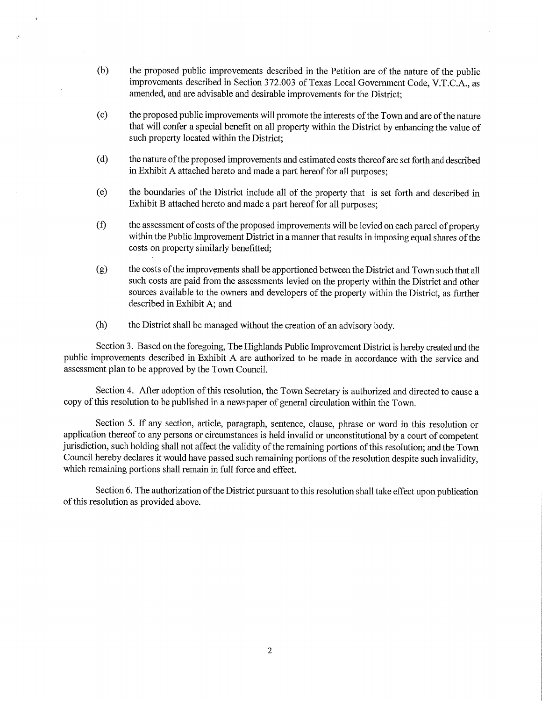- (b) the proposed public improvements described in the Petition are of the nature of the public improvements described in Section 372.003 of Texas Local Government Code, V.T.C.A., as amended, and are advisable and desirable improvements for the District;
- (c) the proposed public improvements will promote the interests of the Town and are of the nature that will confer a special benefit on all property within the District by enhancing the value of such property located within the District;
- (d) the nature of the proposed improvements and estimated costs thereof are set forth and described in Exhibit A attached hereto and made a part hereof for all purposes;
- (e) the boundaries of the District include all of the property that is set forth and described in Exhibit B attached hereto and made a part hereof for all purposes;
- (f) the assessment of costs of the proposed improvements will be levied on each parcel of property within the Public Improvement District in a manner that results in imposing equal shares of the costs on property similarly benefitted;
- (g) the costs of the improvements shall be apportioned between the District and Town such that all such costs are paid from the assessments levied on the property within the District and other sources available to the owners and developers of the property within the District, as further described in Exhibit A; and
- (h) the District shall be managed without the creation of an advisory body.

Section 3. Based on the foregoing. The Highlands Public hnprovement District is hereby created and the public improvements described in Exhibit A are authorized to be made in accordance with the service and assessment plan to be approved by the Town Council.

Section 4. After adoption of this resolution, the Town Secretary is authorized and directed to cause a copy of this resolution to be published in a newspaper of general circulation within the Town.

Section 5. If any section, article, paragraph, sentence, clause, phrase or word in this resolution or application thereof to any persons or circumstances is held invalid or unconstitutional by a court of competent jurisdiction, such holding shall not affect the validity of the remaining portions of this resolution; and the Town Council hereby declares it would have passed such remaining portions of the resolution despite such invalidity, which remaining portions shall remain in full force and effect.

Section 6. The authorization of the District pursuant to this resolution shall take effect upon publication of this resolution as provided above.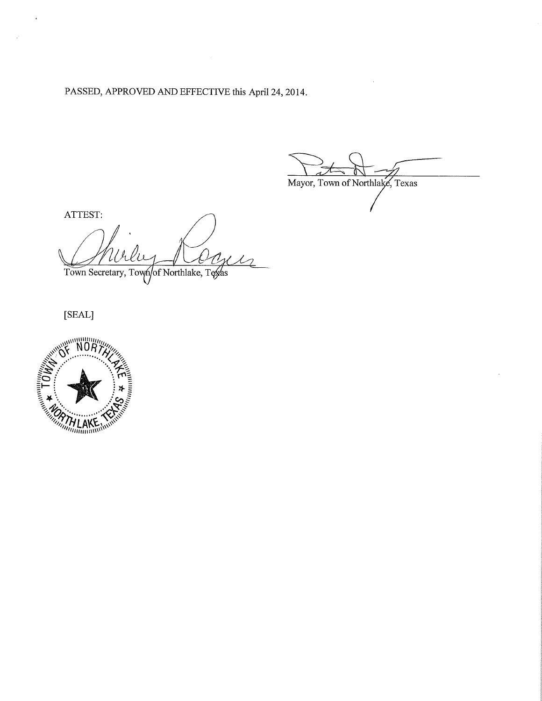PASSED, APPROVED AND EFFECTIVE this April 24, 2014.

Mayor, Town of Northlake, Texas

ATTEST: Town Secretary, Town of Northlake, Texas

[SEAL]

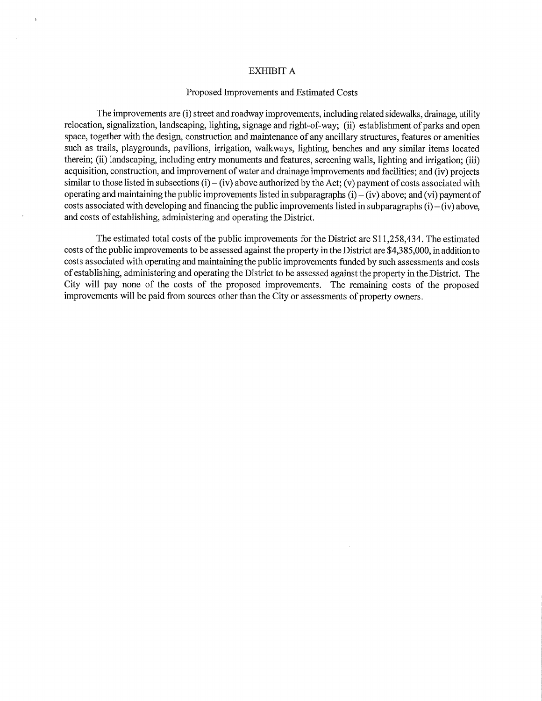#### EXHIBIT A

#### Proposed Improvements and Estimated Costs

The improvements are (i) street and roadway improvements, including related sidewalks, drainage, utility relocation, signalization, landscaping, Ughting, signage and right-of-way; (ii) establishment of parks and open space, together with the design, construction and maintenance of any ancillary structures, features or amenities such as trails, playgrounds, pavilions, irrigation, walkways, lighting, benches and any similar items located therein; (ii) landscaping, including entry monuments and features, screening walls, lighting and irrigation; (iii) acquisition, construction, and improvement of water and drainage improvements and facilities; and (iv) projects similar to those listed in subsections (i) – (iv) above authorized by the Act; (v) payment of costs associated with operating and maintaining the public improvements listed in subparagraphs  $(i) - (iv)$  above; and  $(vi)$  payment of costs associated with developing and financing the public improvements listed in subparagraphs  $(i) - (iv)$  above, and costs of establishing, administering and operating the District.

The estimated total costs of the public improvements for the District are \$11,258,434. The estimated costs of the public improvements to be assessed against the property in the District are \$4,3 85,000, in addition to costs associated with operating and maintaining the public improvements funded by such assessments and costs of establishing, administering and operating the District to be assessed against the property in the District. The City will pay none of the costs of the proposed improvements. The remaining costs of the proposed improvements will be paid from sources other than the City or assessments of property owners.